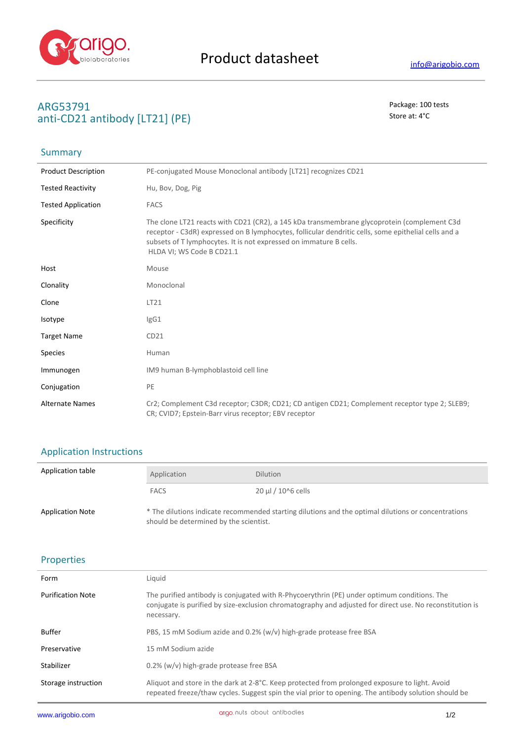

## **ARG53791** Package: 100 tests **anti-CD21 antibody [LT21] (PE)** Store at: 4°C

# Summary

| <b>Product Description</b> | PE-conjugated Mouse Monoclonal antibody [LT21] recognizes CD21                                                                                                                                                                                                                                         |
|----------------------------|--------------------------------------------------------------------------------------------------------------------------------------------------------------------------------------------------------------------------------------------------------------------------------------------------------|
| <b>Tested Reactivity</b>   | Hu, Bov, Dog, Pig                                                                                                                                                                                                                                                                                      |
| <b>Tested Application</b>  | <b>FACS</b>                                                                                                                                                                                                                                                                                            |
| Specificity                | The clone LT21 reacts with CD21 (CR2), a 145 kDa transmembrane glycoprotein (complement C3d<br>receptor - C3dR) expressed on B lymphocytes, follicular dendritic cells, some epithelial cells and a<br>subsets of T lymphocytes. It is not expressed on immature B cells.<br>HLDA VI; WS Code B CD21.1 |
| Host                       | Mouse                                                                                                                                                                                                                                                                                                  |
| Clonality                  | Monoclonal                                                                                                                                                                                                                                                                                             |
| Clone                      | LT21                                                                                                                                                                                                                                                                                                   |
| Isotype                    | lgG1                                                                                                                                                                                                                                                                                                   |
| <b>Target Name</b>         | CD21                                                                                                                                                                                                                                                                                                   |
| Species                    | Human                                                                                                                                                                                                                                                                                                  |
| Immunogen                  | IM9 human B-lymphoblastoid cell line                                                                                                                                                                                                                                                                   |
| Conjugation                | PE                                                                                                                                                                                                                                                                                                     |
| <b>Alternate Names</b>     | Cr2; Complement C3d receptor; C3DR; CD21; CD antigen CD21; Complement receptor type 2; SLEB9;<br>CR; CVID7; Epstein-Barr virus receptor; EBV receptor                                                                                                                                                  |

## Application Instructions

| Application table       | Application                                                                                                                                   | <b>Dilution</b>         |
|-------------------------|-----------------------------------------------------------------------------------------------------------------------------------------------|-------------------------|
|                         | <b>FACS</b>                                                                                                                                   | $20 \mu$ I / 10^6 cells |
| <b>Application Note</b> | * The dilutions indicate recommended starting dilutions and the optimal dilutions or concentrations<br>should be determined by the scientist. |                         |

### Properties

l,

| Form                     | Liquid                                                                                                                                                                                                                |
|--------------------------|-----------------------------------------------------------------------------------------------------------------------------------------------------------------------------------------------------------------------|
| <b>Purification Note</b> | The purified antibody is conjugated with R-Phycoerythrin (PE) under optimum conditions. The<br>conjugate is purified by size-exclusion chromatography and adjusted for direct use. No reconstitution is<br>necessary. |
| Buffer                   | PBS, 15 mM Sodium azide and 0.2% (w/v) high-grade protease free BSA                                                                                                                                                   |
| Preservative             | 15 mM Sodium azide                                                                                                                                                                                                    |
| Stabilizer               | 0.2% (w/v) high-grade protease free BSA                                                                                                                                                                               |
| Storage instruction      | Aliquot and store in the dark at 2-8°C. Keep protected from prolonged exposure to light. Avoid<br>repeated freeze/thaw cycles. Suggest spin the vial prior to opening. The antibody solution should be                |